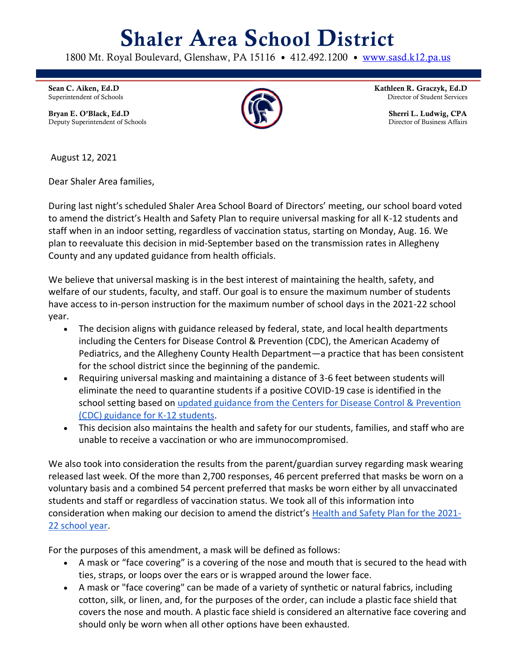## Shaler Area School District

1800 Mt. Royal Boulevard, Glenshaw, PA 15116 • 412.492.1200 • [www.sasd.k12.pa.us](http://www.sasd.k12.pa.us/)

Sean C. Aiken, Ed.D Superintendent of Schools

Bryan E. O'Black, Ed.D Deputy Superintendent of Schools



Kathleen R. Graczyk, Ed.D Director of Student Services

> Sherri L. Ludwig, CPA Director of Business Affairs

August 12, 2021

Dear Shaler Area families,

During last night's scheduled Shaler Area School Board of Directors' meeting, our school board voted to amend the district's Health and Safety Plan to require universal masking for all K-12 students and staff when in an indoor setting, regardless of vaccination status, starting on Monday, Aug. 16. We plan to reevaluate this decision in mid-September based on the transmission rates in Allegheny County and any updated guidance from health officials.

We believe that universal masking is in the best interest of maintaining the health, safety, and welfare of our students, faculty, and staff. Our goal is to ensure the maximum number of students have access to in-person instruction for the maximum number of school days in the 2021-22 school year.

- The decision aligns with guidance released by federal, state, and local health departments including the Centers for Disease Control & Prevention (CDC), the American Academy of Pediatrics, and the Allegheny County Health Department—a practice that has been consistent for the school district since the beginning of the pandemic.
- Requiring universal masking and maintaining a distance of 3-6 feet between students will eliminate the need to quarantine students if a positive COVID-19 case is identified in the school setting based on [updated guidance from the Centers for Disease Control & Prevention](https://www.cdc.gov/coronavirus/2019-ncov/community/schools-childcare/k-12-guidance.html)  [\(CDC\) guidance for K-12 students.](https://www.cdc.gov/coronavirus/2019-ncov/community/schools-childcare/k-12-guidance.html)
- This decision also maintains the health and safety for our students, families, and staff who are unable to receive a vaccination or who are immunocompromised.

We also took into consideration the results from the parent/guardian survey regarding mask wearing released last week. Of the more than 2,700 responses, 46 percent preferred that masks be worn on a voluntary basis and a combined 54 percent preferred that masks be worn either by all unvaccinated students and staff or regardless of vaccination status. We took all of this information into consideration when making our decision to amend the district's [Health and Safety Plan for the 2021-](https://www.sasd.k12.pa.us/Downloads/Health-and-Safety-Plan-revised-071421.pdf) [22 school year.](https://www.sasd.k12.pa.us/Downloads/Health-and-Safety-Plan-revised-071421.pdf)

For the purposes of this amendment, a mask will be defined as follows:

- A mask or "face covering" is a covering of the nose and mouth that is secured to the head with ties, straps, or loops over the ears or is wrapped around the lower face.
- A mask or "face covering" can be made of a variety of synthetic or natural fabrics, including cotton, silk, or linen, and, for the purposes of the order, can include a plastic face shield that covers the nose and mouth. A plastic face shield is considered an alternative face covering and should only be worn when all other options have been exhausted.